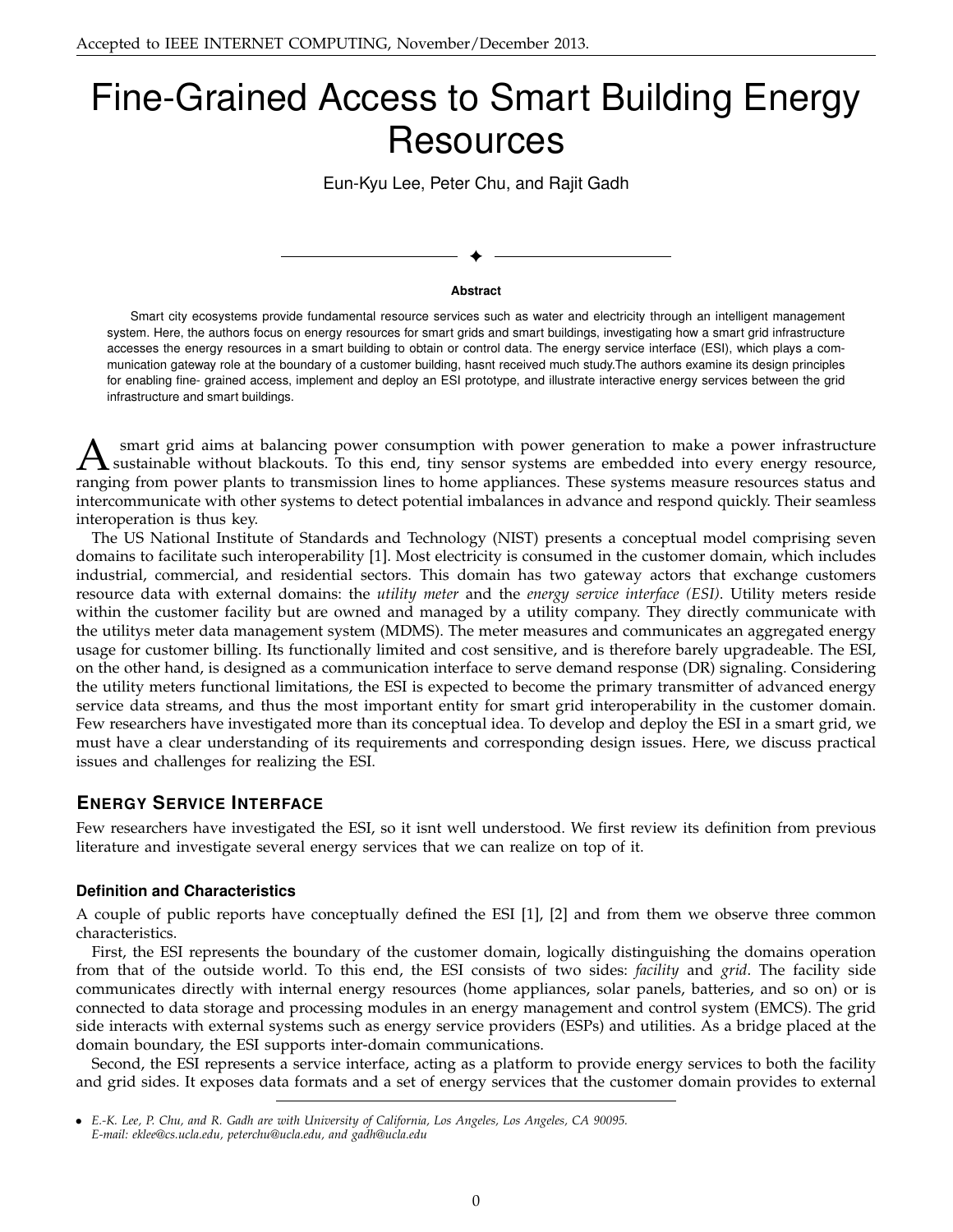# Fine-Grained Access to Smart Building Energy **Resources**

Eun-Kyu Lee, Peter Chu, and Rajit Gadh

#### **Abstract**

✦

Smart city ecosystems provide fundamental resource services such as water and electricity through an intelligent management system. Here, the authors focus on energy resources for smart grids and smart buildings, investigating how a smart grid infrastructure accesses the energy resources in a smart building to obtain or control data. The energy service interface (ESI), which plays a communication gateway role at the boundary of a customer building, hasnt received much study.The authors examine its design principles for enabling fine- grained access, implement and deploy an ESI prototype, and illustrate interactive energy services between the grid infrastructure and smart buildings.

A smart grid aims at balancing power consumption with power generation to make a power infrastructure<br>sustainable without blackouts. To this end, tiny sensor systems are embedded into every energy resource,<br>ranging from po smart grid aims at balancing power consumption with power generation to make a power infrastructure ranging from power plants to transmission lines to home appliances. These systems measure resources status and intercommunicate with other systems to detect potential imbalances in advance and respond quickly. Their seamless interoperation is thus key.

The US National Institute of Standards and Technology (NIST) presents a conceptual model comprising seven domains to facilitate such interoperability [1]. Most electricity is consumed in the customer domain, which includes industrial, commercial, and residential sectors. This domain has two gateway actors that exchange customers resource data with external domains: the *utility meter* and the *energy service interface (ESI)*. Utility meters reside within the customer facility but are owned and managed by a utility company. They directly communicate with the utilitys meter data management system (MDMS). The meter measures and communicates an aggregated energy usage for customer billing. Its functionally limited and cost sensitive, and is therefore barely upgradeable. The ESI, on the other hand, is designed as a communication interface to serve demand response (DR) signaling. Considering the utility meters functional limitations, the ESI is expected to become the primary transmitter of advanced energy service data streams, and thus the most important entity for smart grid interoperability in the customer domain. Few researchers have investigated more than its conceptual idea. To develop and deploy the ESI in a smart grid, we must have a clear understanding of its requirements and corresponding design issues. Here, we discuss practical issues and challenges for realizing the ESI.

## **ENERGY SERVICE INTERFACE**

Few researchers have investigated the ESI, so it isnt well understood. We first review its definition from previous literature and investigate several energy services that we can realize on top of it.

## **Definition and Characteristics**

A couple of public reports have conceptually defined the ESI [1], [2] and from them we observe three common characteristics.

First, the ESI represents the boundary of the customer domain, logically distinguishing the domains operation from that of the outside world. To this end, the ESI consists of two sides: *facility* and *grid*. The facility side communicates directly with internal energy resources (home appliances, solar panels, batteries, and so on) or is connected to data storage and processing modules in an energy management and control system (EMCS). The grid side interacts with external systems such as energy service providers (ESPs) and utilities. As a bridge placed at the domain boundary, the ESI supports inter-domain communications.

Second, the ESI represents a service interface, acting as a platform to provide energy services to both the facility and grid sides. It exposes data formats and a set of energy services that the customer domain provides to external

<sup>•</sup> *E.-K. Lee, P. Chu, and R. Gadh are with University of California, Los Angeles, Los Angeles, CA 90095. E-mail: eklee@cs.ucla.edu, peterchu@ucla.edu, and gadh@ucla.edu*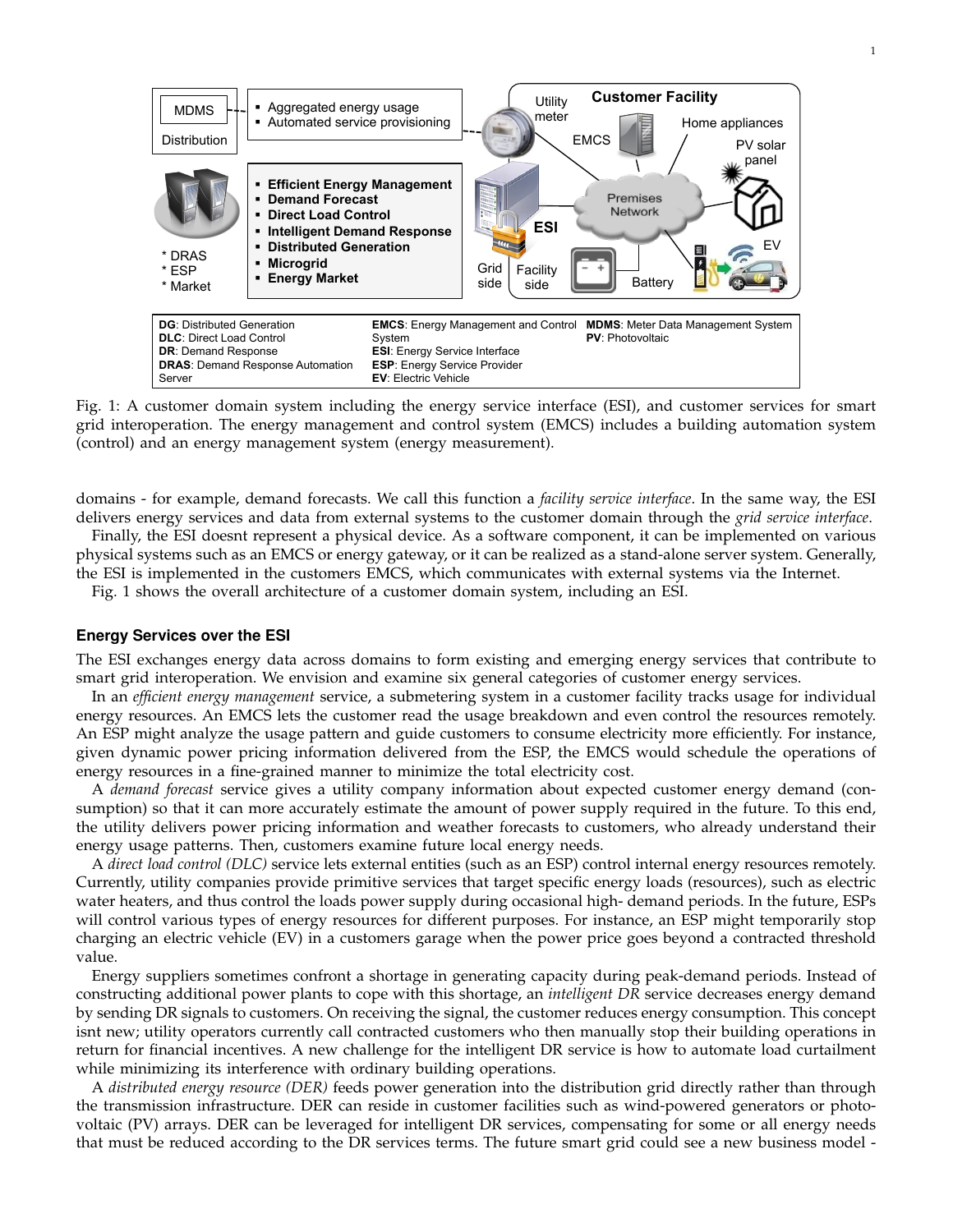

Fig. 1: A customer domain system including the energy service interface (ESI), and customer services for smart grid interoperation. The energy management and control system (EMCS) includes a building automation system (control) and an energy management system (energy measurement).

domains - for example, demand forecasts. We call this function a *facility service interface*. In the same way, the ESI delivers energy services and data from external systems to the customer domain through the *grid service interface*.

Finally, the ESI doesnt represent a physical device. As a software component, it can be implemented on various physical systems such as an EMCS or energy gateway, or it can be realized as a stand-alone server system. Generally, the ESI is implemented in the customers EMCS, which communicates with external systems via the Internet.

Fig. 1 shows the overall architecture of a customer domain system, including an ESI.

#### **Energy Services over the ESI**

The ESI exchanges energy data across domains to form existing and emerging energy services that contribute to smart grid interoperation. We envision and examine six general categories of customer energy services.

In an *efficient energy management* service, a submetering system in a customer facility tracks usage for individual energy resources. An EMCS lets the customer read the usage breakdown and even control the resources remotely. An ESP might analyze the usage pattern and guide customers to consume electricity more efficiently. For instance, given dynamic power pricing information delivered from the ESP, the EMCS would schedule the operations of energy resources in a fine-grained manner to minimize the total electricity cost.

A *demand forecast* service gives a utility company information about expected customer energy demand (consumption) so that it can more accurately estimate the amount of power supply required in the future. To this end, the utility delivers power pricing information and weather forecasts to customers, who already understand their energy usage patterns. Then, customers examine future local energy needs.

A *direct load control (DLC)* service lets external entities (such as an ESP) control internal energy resources remotely. Currently, utility companies provide primitive services that target specific energy loads (resources), such as electric water heaters, and thus control the loads power supply during occasional high- demand periods. In the future, ESPs will control various types of energy resources for different purposes. For instance, an ESP might temporarily stop charging an electric vehicle (EV) in a customers garage when the power price goes beyond a contracted threshold value.

Energy suppliers sometimes confront a shortage in generating capacity during peak-demand periods. Instead of constructing additional power plants to cope with this shortage, an *intelligent DR* service decreases energy demand by sending DR signals to customers. On receiving the signal, the customer reduces energy consumption. This concept isnt new; utility operators currently call contracted customers who then manually stop their building operations in return for financial incentives. A new challenge for the intelligent DR service is how to automate load curtailment while minimizing its interference with ordinary building operations.

A *distributed energy resource (DER)* feeds power generation into the distribution grid directly rather than through the transmission infrastructure. DER can reside in customer facilities such as wind-powered generators or photovoltaic (PV) arrays. DER can be leveraged for intelligent DR services, compensating for some or all energy needs that must be reduced according to the DR services terms. The future smart grid could see a new business model -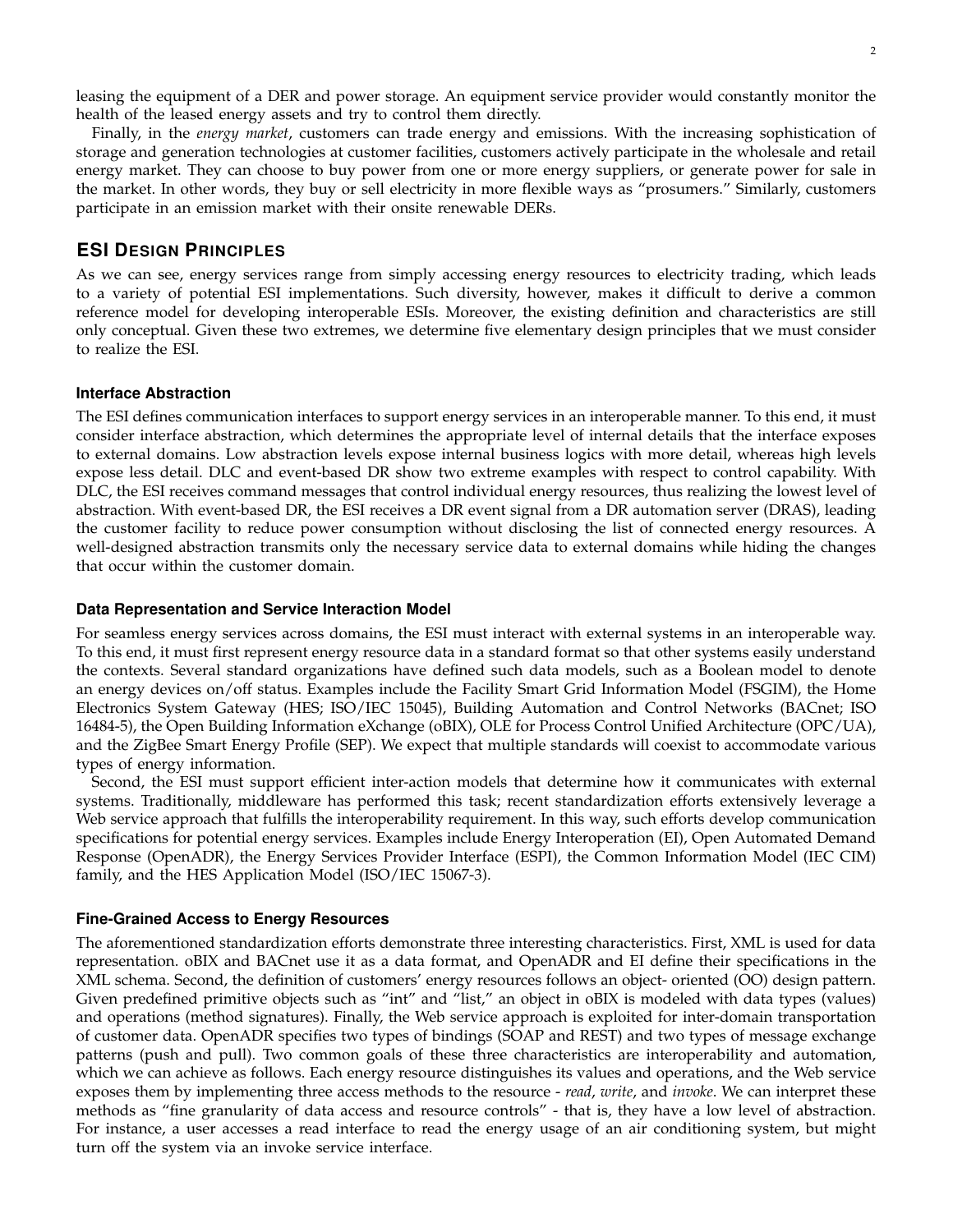leasing the equipment of a DER and power storage. An equipment service provider would constantly monitor the health of the leased energy assets and try to control them directly.

Finally, in the *energy market*, customers can trade energy and emissions. With the increasing sophistication of storage and generation technologies at customer facilities, customers actively participate in the wholesale and retail energy market. They can choose to buy power from one or more energy suppliers, or generate power for sale in the market. In other words, they buy or sell electricity in more flexible ways as "prosumers." Similarly, customers participate in an emission market with their onsite renewable DERs.

### **ESI DESIGN PRINCIPLES**

As we can see, energy services range from simply accessing energy resources to electricity trading, which leads to a variety of potential ESI implementations. Such diversity, however, makes it difficult to derive a common reference model for developing interoperable ESIs. Moreover, the existing definition and characteristics are still only conceptual. Given these two extremes, we determine five elementary design principles that we must consider to realize the ESI.

#### **Interface Abstraction**

The ESI defines communication interfaces to support energy services in an interoperable manner. To this end, it must consider interface abstraction, which determines the appropriate level of internal details that the interface exposes to external domains. Low abstraction levels expose internal business logics with more detail, whereas high levels expose less detail. DLC and event-based DR show two extreme examples with respect to control capability. With DLC, the ESI receives command messages that control individual energy resources, thus realizing the lowest level of abstraction. With event-based DR, the ESI receives a DR event signal from a DR automation server (DRAS), leading the customer facility to reduce power consumption without disclosing the list of connected energy resources. A well-designed abstraction transmits only the necessary service data to external domains while hiding the changes that occur within the customer domain.

#### **Data Representation and Service Interaction Model**

For seamless energy services across domains, the ESI must interact with external systems in an interoperable way. To this end, it must first represent energy resource data in a standard format so that other systems easily understand the contexts. Several standard organizations have defined such data models, such as a Boolean model to denote an energy devices on/off status. Examples include the Facility Smart Grid Information Model (FSGIM), the Home Electronics System Gateway (HES; ISO/IEC 15045), Building Automation and Control Networks (BACnet; ISO 16484-5), the Open Building Information eXchange (oBIX), OLE for Process Control Unified Architecture (OPC/UA), and the ZigBee Smart Energy Profile (SEP). We expect that multiple standards will coexist to accommodate various types of energy information.

Second, the ESI must support efficient inter-action models that determine how it communicates with external systems. Traditionally, middleware has performed this task; recent standardization efforts extensively leverage a Web service approach that fulfills the interoperability requirement. In this way, such efforts develop communication specifications for potential energy services. Examples include Energy Interoperation (EI), Open Automated Demand Response (OpenADR), the Energy Services Provider Interface (ESPI), the Common Information Model (IEC CIM) family, and the HES Application Model (ISO/IEC 15067-3).

#### **Fine-Grained Access to Energy Resources**

The aforementioned standardization efforts demonstrate three interesting characteristics. First, XML is used for data representation. oBIX and BACnet use it as a data format, and OpenADR and EI define their specifications in the XML schema. Second, the definition of customers' energy resources follows an object- oriented (OO) design pattern. Given predefined primitive objects such as "int" and "list," an object in oBIX is modeled with data types (values) and operations (method signatures). Finally, the Web service approach is exploited for inter-domain transportation of customer data. OpenADR specifies two types of bindings (SOAP and REST) and two types of message exchange patterns (push and pull). Two common goals of these three characteristics are interoperability and automation, which we can achieve as follows. Each energy resource distinguishes its values and operations, and the Web service exposes them by implementing three access methods to the resource - *read*, *write*, and *invoke*. We can interpret these methods as "fine granularity of data access and resource controls" - that is, they have a low level of abstraction. For instance, a user accesses a read interface to read the energy usage of an air conditioning system, but might turn off the system via an invoke service interface.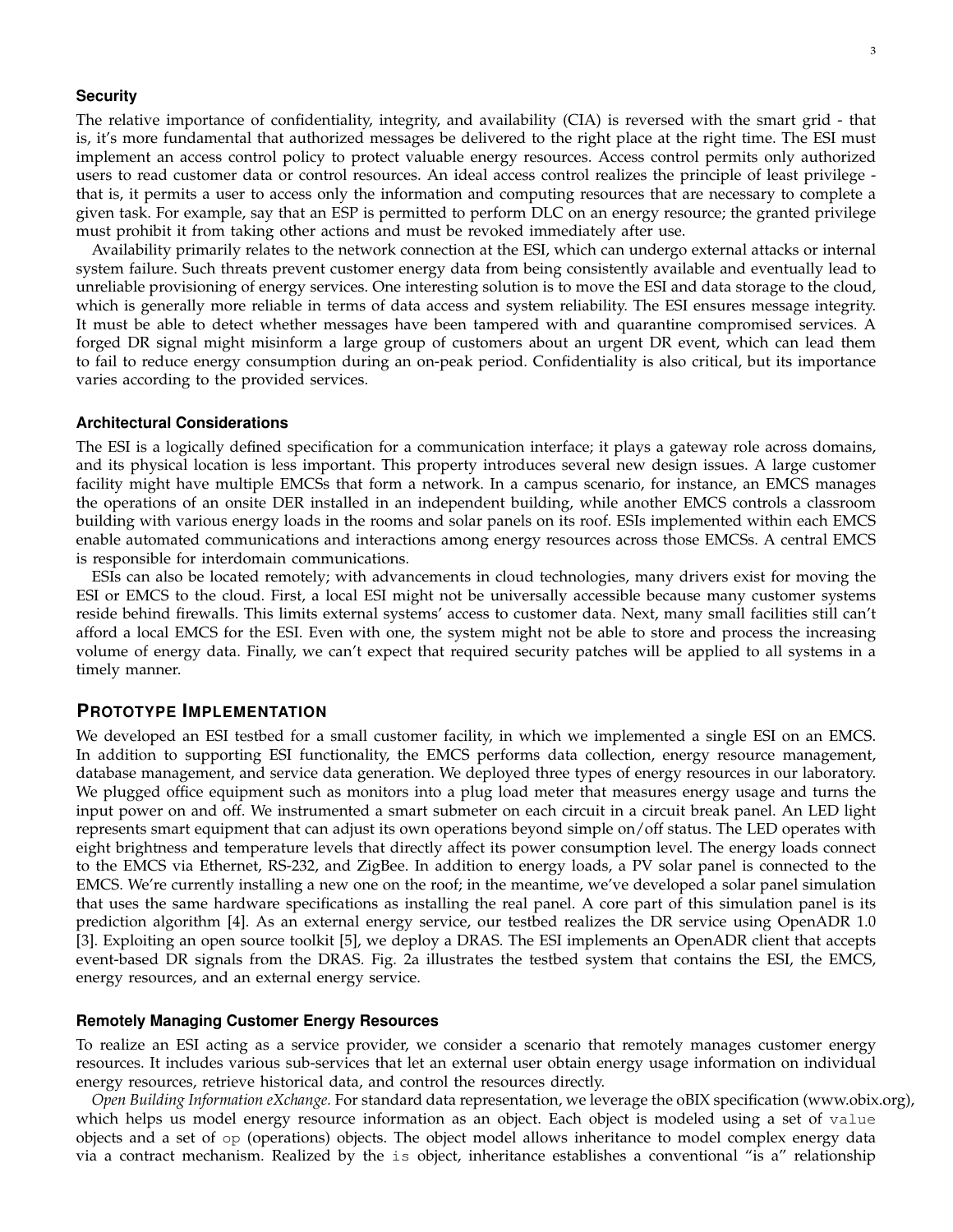#### **Security**

The relative importance of confidentiality, integrity, and availability (CIA) is reversed with the smart grid - that is, it's more fundamental that authorized messages be delivered to the right place at the right time. The ESI must implement an access control policy to protect valuable energy resources. Access control permits only authorized users to read customer data or control resources. An ideal access control realizes the principle of least privilege that is, it permits a user to access only the information and computing resources that are necessary to complete a given task. For example, say that an ESP is permitted to perform DLC on an energy resource; the granted privilege must prohibit it from taking other actions and must be revoked immediately after use.

Availability primarily relates to the network connection at the ESI, which can undergo external attacks or internal system failure. Such threats prevent customer energy data from being consistently available and eventually lead to unreliable provisioning of energy services. One interesting solution is to move the ESI and data storage to the cloud, which is generally more reliable in terms of data access and system reliability. The ESI ensures message integrity. It must be able to detect whether messages have been tampered with and quarantine compromised services. A forged DR signal might misinform a large group of customers about an urgent DR event, which can lead them to fail to reduce energy consumption during an on-peak period. Confidentiality is also critical, but its importance varies according to the provided services.

#### **Architectural Considerations**

The ESI is a logically defined specification for a communication interface; it plays a gateway role across domains, and its physical location is less important. This property introduces several new design issues. A large customer facility might have multiple EMCSs that form a network. In a campus scenario, for instance, an EMCS manages the operations of an onsite DER installed in an independent building, while another EMCS controls a classroom building with various energy loads in the rooms and solar panels on its roof. ESIs implemented within each EMCS enable automated communications and interactions among energy resources across those EMCSs. A central EMCS is responsible for interdomain communications.

ESIs can also be located remotely; with advancements in cloud technologies, many drivers exist for moving the ESI or EMCS to the cloud. First, a local ESI might not be universally accessible because many customer systems reside behind firewalls. This limits external systems' access to customer data. Next, many small facilities still can't afford a local EMCS for the ESI. Even with one, the system might not be able to store and process the increasing volume of energy data. Finally, we can't expect that required security patches will be applied to all systems in a timely manner.

## **PROTOTYPE IMPLEMENTATION**

We developed an ESI testbed for a small customer facility, in which we implemented a single ESI on an EMCS. In addition to supporting ESI functionality, the EMCS performs data collection, energy resource management, database management, and service data generation. We deployed three types of energy resources in our laboratory. We plugged office equipment such as monitors into a plug load meter that measures energy usage and turns the input power on and off. We instrumented a smart submeter on each circuit in a circuit break panel. An LED light represents smart equipment that can adjust its own operations beyond simple on/off status. The LED operates with eight brightness and temperature levels that directly affect its power consumption level. The energy loads connect to the EMCS via Ethernet, RS-232, and ZigBee. In addition to energy loads, a PV solar panel is connected to the EMCS. We're currently installing a new one on the roof; in the meantime, we've developed a solar panel simulation that uses the same hardware specifications as installing the real panel. A core part of this simulation panel is its prediction algorithm [4]. As an external energy service, our testbed realizes the DR service using OpenADR 1.0 [3]. Exploiting an open source toolkit [5], we deploy a DRAS. The ESI implements an OpenADR client that accepts event-based DR signals from the DRAS. Fig. 2a illustrates the testbed system that contains the ESI, the EMCS, energy resources, and an external energy service.

#### **Remotely Managing Customer Energy Resources**

To realize an ESI acting as a service provider, we consider a scenario that remotely manages customer energy resources. It includes various sub-services that let an external user obtain energy usage information on individual energy resources, retrieve historical data, and control the resources directly.

*Open Building Information eXchange.* For standard data representation, we leverage the oBIX specification (www.obix.org), which helps us model energy resource information as an object. Each object is modeled using a set of value objects and a set of op (operations) objects. The object model allows inheritance to model complex energy data via a contract mechanism. Realized by the is object, inheritance establishes a conventional "is a" relationship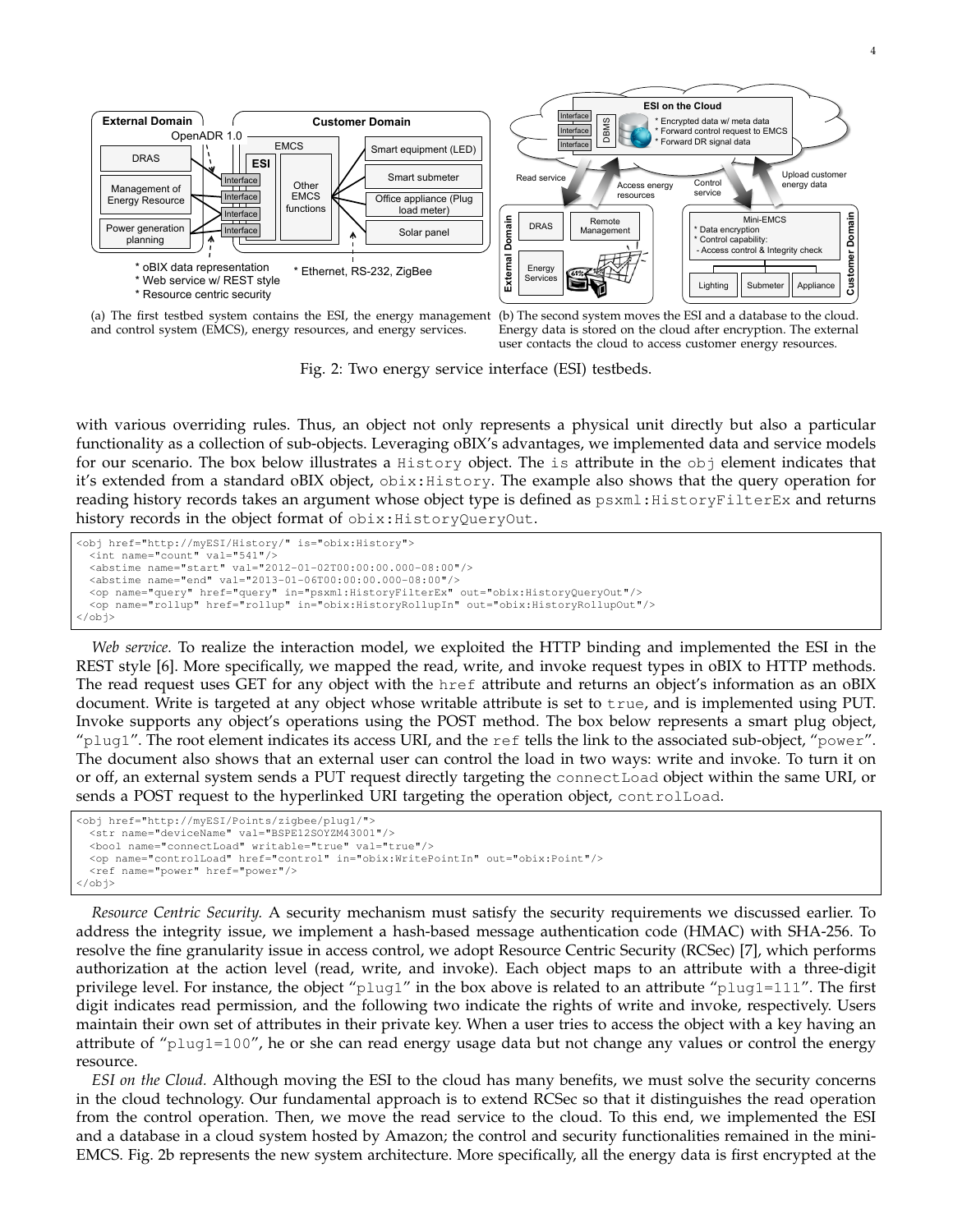

(a) The first testbed system contains the ESI, the energy management and control system (EMCS), energy resources, and energy services.



Fig. 2: Two energy service interface (ESI) testbeds.

with various overriding rules. Thus, an object not only represents a physical unit directly but also a particular functionality as a collection of sub-objects. Leveraging oBIX's advantages, we implemented data and service models for our scenario. The box below illustrates a History object. The is attribute in the obj element indicates that it's extended from a standard oBIX object,  $obix:History$ . The example also shows that the query operation for reading history records takes an argument whose object type is defined as psxml:HistoryFilterEx and returns history records in the object format of obix: HistoryQueryOut.

```
<obj href="http://myESI/History/" is="obix:History">
 <int name="count" val="541"/>
 <abstime name="start" val="2012-01-02T00:00:00.000-08:00"/>
 <abstime name="end" val="2013-01-06T00:00:00.000-08:00"/>
 <op name="query" href="query" in="psxml:HistoryFilterEx" out="obix:HistoryQueryOut"/>
  <op name="rollup" href="rollup" in="obix:HistoryRollupIn" out="obix:HistoryRollupOut"/>
</obj>
```
*Web service.* To realize the interaction model, we exploited the HTTP binding and implemented the ESI in the REST style [6]. More specifically, we mapped the read, write, and invoke request types in oBIX to HTTP methods. The read request uses GET for any object with the href attribute and returns an object's information as an oBIX document. Write is targeted at any object whose writable attribute is set to true, and is implemented using PUT. Invoke supports any object's operations using the POST method. The box below represents a smart plug object, " $p \log 1$ ". The root element indicates its access URI, and the ref tells the link to the associated sub-object, " $p \omega e r$ ". The document also shows that an external user can control the load in two ways: write and invoke. To turn it on or off, an external system sends a PUT request directly targeting the connectLoad object within the same URI, or sends a POST request to the hyperlinked URI targeting the operation object, controlLoad.

```
<obj href="http://myESI/Points/zigbee/plug1/">
  <str name="deviceName" val="BSPE12SOYZM43001"/>
  <bool name="connectLoad" writable="true" val="true"/>
 <op name="controlLoad" href="control" in="obix:WritePointIn" out="obix:Point"/>
  <ref name="power" href="power"/>
</obj>
```
*Resource Centric Security.* A security mechanism must satisfy the security requirements we discussed earlier. To address the integrity issue, we implement a hash-based message authentication code (HMAC) with SHA-256. To resolve the fine granularity issue in access control, we adopt Resource Centric Security (RCSec) [7], which performs authorization at the action level (read, write, and invoke). Each object maps to an attribute with a three-digit privilege level. For instance, the object "plug1" in the box above is related to an attribute "plug1=111". The first digit indicates read permission, and the following two indicate the rights of write and invoke, respectively. Users maintain their own set of attributes in their private key. When a user tries to access the object with a key having an attribute of "plug1=100", he or she can read energy usage data but not change any values or control the energy resource.

*ESI on the Cloud.* Although moving the ESI to the cloud has many benefits, we must solve the security concerns in the cloud technology. Our fundamental approach is to extend RCSec so that it distinguishes the read operation from the control operation. Then, we move the read service to the cloud. To this end, we implemented the ESI and a database in a cloud system hosted by Amazon; the control and security functionalities remained in the mini-EMCS. Fig. 2b represents the new system architecture. More specifically, all the energy data is first encrypted at the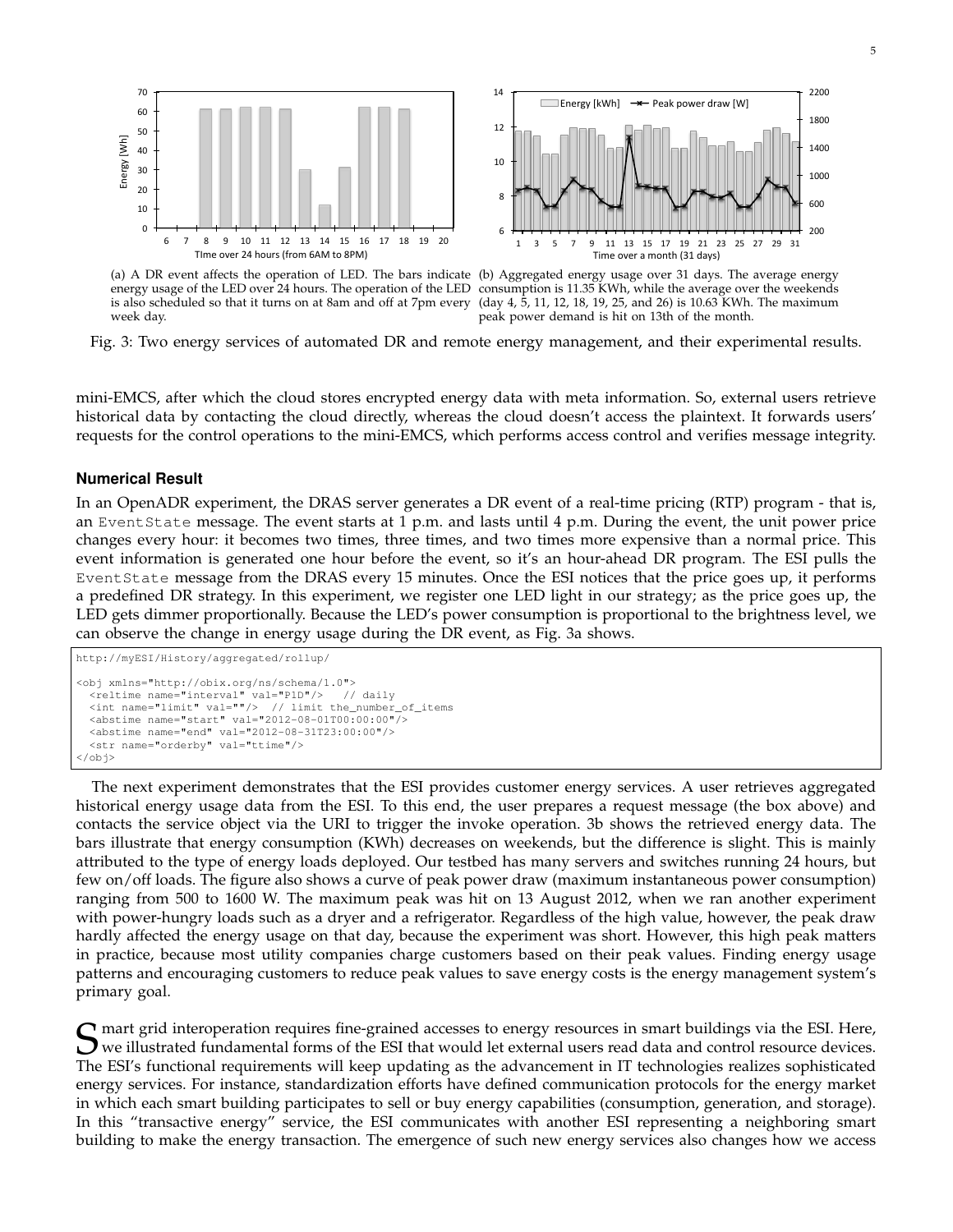

(a) A DR event affects the operation of LED. The bars indicate (b) Aggregated energy usage over 31 days. The average energy energy usage of the LED over 24 hours. The operation of the LED consumption is 11.35 KWh, while the average over the weekends is also scheduled so that it turns on at 8am and off at 7pm every (day 4, 5, 11, 12, 18, 19, 25, and 26) is 10.63 KWh. The maximum week day. peak power demand is hit on 13th of the month.

Fig. 3: Two energy services of automated DR and remote energy management, and their experimental results.

mini-EMCS, after which the cloud stores encrypted energy data with meta information. So, external users retrieve historical data by contacting the cloud directly, whereas the cloud doesn't access the plaintext. It forwards users' requests for the control operations to the mini-EMCS, which performs access control and verifies message integrity.

#### **Numerical Result**

In an OpenADR experiment, the DRAS server generates a DR event of a real-time pricing (RTP) program - that is, an EventState message. The event starts at 1 p.m. and lasts until 4 p.m. During the event, the unit power price changes every hour: it becomes two times, three times, and two times more expensive than a normal price. This event information is generated one hour before the event, so it's an hour-ahead DR program. The ESI pulls the EventState message from the DRAS every 15 minutes. Once the ESI notices that the price goes up, it performs a predefined DR strategy. In this experiment, we register one LED light in our strategy; as the price goes up, the LED gets dimmer proportionally. Because the LED's power consumption is proportional to the brightness level, we can observe the change in energy usage during the DR event, as Fig. 3a shows.

```
http://myESI/History/aggregated/rollup/
<obj xmlns="http://obix.org/ns/schema/1.0">
   <reltime name="interval" val="P1D"/> // daily
   \frac{1}{\pi} and \frac{1}{\pi} and \frac{1}{\pi} and \frac{1}{\pi} and \frac{1}{\pi} and \frac{1}{\pi} and \frac{1}{\pi} and \frac{1}{\pi} and \frac{1}{\pi} and \frac{1}{\pi} and \frac{1}{\pi} and \frac{1}{\pi} and \frac{1}{\pi} and \frac{1}{\pi} and \frac{1}{\pi} 
   <abstime name="start" val="2012-08-01T00:00:00"/>
   <abstime name="end" val="2012-08-31T23:00:00"/>
   <str name="orderby" val="ttime"/>
 </obj>
```
The next experiment demonstrates that the ESI provides customer energy services. A user retrieves aggregated historical energy usage data from the ESI. To this end, the user prepares a request message (the box above) and contacts the service object via the URI to trigger the invoke operation. 3b shows the retrieved energy data. The bars illustrate that energy consumption (KWh) decreases on weekends, but the difference is slight. This is mainly attributed to the type of energy loads deployed. Our testbed has many servers and switches running 24 hours, but few on/off loads. The figure also shows a curve of peak power draw (maximum instantaneous power consumption) ranging from 500 to 1600 W. The maximum peak was hit on 13 August 2012, when we ran another experiment with power-hungry loads such as a dryer and a refrigerator. Regardless of the high value, however, the peak draw hardly affected the energy usage on that day, because the experiment was short. However, this high peak matters in practice, because most utility companies charge customers based on their peak values. Finding energy usage patterns and encouraging customers to reduce peak values to save energy costs is the energy management system's primary goal.

S mart grid interoperation requires fine-grained accesses to energy resources in smart buildings via the ESI. Here,<br>The ESI's functional requirements will keep updating as the advancement in IT technologies realizes sonbis **J** we illustrated fundamental forms of the ESI that would let external users read data and control resource devices. The ESI's functional requirements will keep updating as the advancement in IT technologies realizes sophisticated energy services. For instance, standardization efforts have defined communication protocols for the energy market in which each smart building participates to sell or buy energy capabilities (consumption, generation, and storage). In this "transactive energy" service, the ESI communicates with another ESI representing a neighboring smart building to make the energy transaction. The emergence of such new energy services also changes how we access